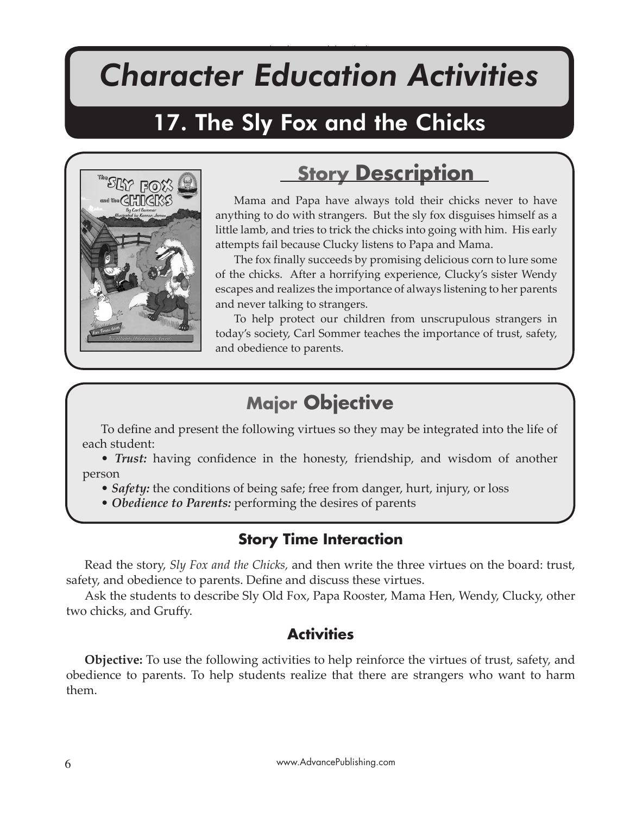# *Character Education Activities*

The Sly Fox and the Chicks

# 17. The Sly Fox and the Chicks



# **Story Description**

Mama and Papa have always told their chicks never to have anything to do with strangers. But the sly fox disguises himself as a little lamb, and tries to trick the chicks into going with him. His early attempts fail because Clucky listens to Papa and Mama.

The fox finally succeeds by promising delicious corn to lure some of the chicks. After a horrifying experience, Clucky's sister Wendy escapes and realizes the importance of always listening to her parents and never talking to strangers.

To help protect our children from unscrupulous strangers in today's society, Carl Sommer teaches the importance of trust, safety, and obedience to parents.

# **Major Objective**

To define and present the following virtues so they may be integrated into the life of each student:

• *Trust:* having confidence in the honesty, friendship, and wisdom of another person

- *Safety:* the conditions of being safe; free from danger, hurt, injury, or loss
- *Obedience to Parents:* performing the desires of parents

# **Story Time Interaction**

Read the story, *Sly Fox and the Chicks,* and then write the three virtues on the board: trust, safety, and obedience to parents. Define and discuss these virtues.

Ask the students to describe Sly Old Fox, Papa Rooster, Mama Hen, Wendy, Clucky, other two chicks, and Gruffy.

### **Activities**

**Objective:** To use the following activities to help reinforce the virtues of trust, safety, and obedience to parents. To help students realize that there are strangers who want to harm them.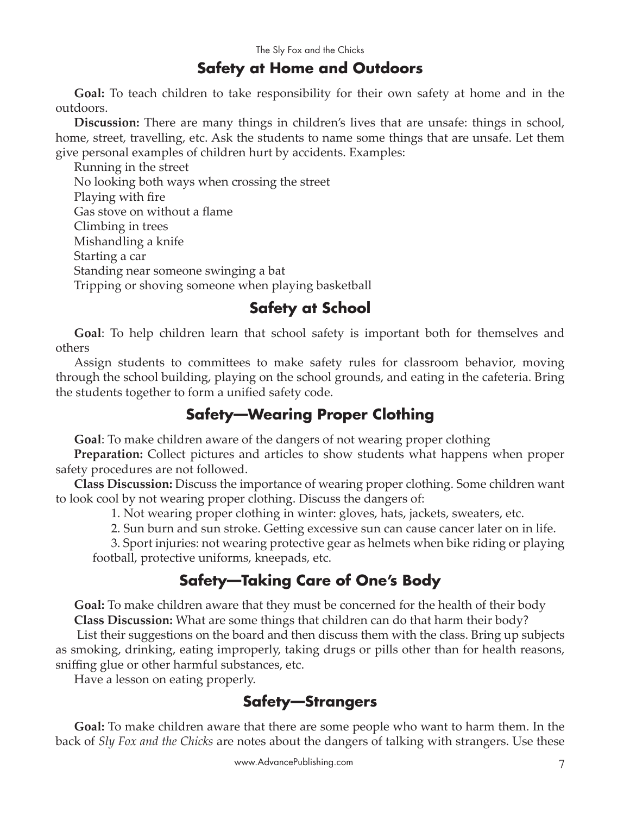#### **Safety at Home and Outdoors**

**Goal:** To teach children to take responsibility for their own safety at home and in the outdoors.

**Discussion:** There are many things in children's lives that are unsafe: things in school, home, street, travelling, etc. Ask the students to name some things that are unsafe. Let them give personal examples of children hurt by accidents. Examples:

Running in the street No looking both ways when crossing the street Playing with fire Gas stove on without a flame Climbing in trees Mishandling a knife Starting a car Standing near someone swinging a bat Tripping or shoving someone when playing basketball

## **Safety at School**

**Goal**: To help children learn that school safety is important both for themselves and others

Assign students to commi�ees to make safety rules for classroom behavior, moving through the school building, playing on the school grounds, and eating in the cafeteria. Bring the students together to form a unified safety code.

### **Safety—Wearing Proper Clothing**

**Goal**: To make children aware of the dangers of not wearing proper clothing

**Preparation:** Collect pictures and articles to show students what happens when proper safety procedures are not followed.

**Class Discussion:** Discuss the importance of wearing proper clothing. Some children want to look cool by not wearing proper clothing. Discuss the dangers of:

1. Not wearing proper clothing in winter: gloves, hats, jackets, sweaters, etc.

2. Sun burn and sun stroke. Getting excessive sun can cause cancer later on in life.

3. Sport injuries: not wearing protective gear as helmets when bike riding or playing football, protective uniforms, kneepads, etc.

# **Safety—Taking Care of One's Body**

**Goal:** To make children aware that they must be concerned for the health of their body **Class Discussion:** What are some things that children can do that harm their body?

 List their suggestions on the board and then discuss them with the class. Bring up subjects as smoking, drinking, eating improperly, taking drugs or pills other than for health reasons, sniffing glue or other harmful substances, etc.

Have a lesson on eating properly.

# **Safety—Strangers**

**Goal:** To make children aware that there are some people who want to harm them. In the back of *Sly Fox and the Chicks* are notes about the dangers of talking with strangers. Use these